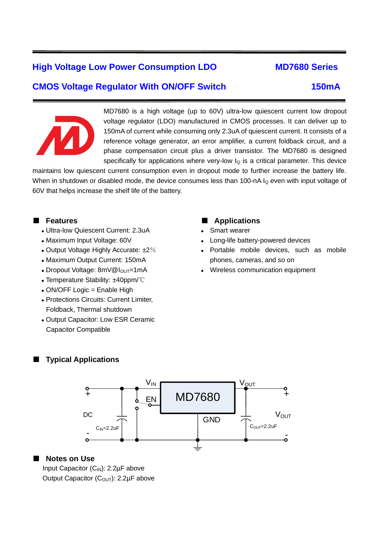# **High Voltage Low Power Consumption LDO MD7680 Series**

# **CMOS Voltage Regulator With ON/OFF Switch 150mA**



ī

MD7680 is a high voltage (up to 60V) ultra-low quiescent current low dropout voltage regulator (LDO) manufactured in CMOS processes. It can deliver up to 150mA of current while consuming only 2.3uA of quiescent current. It consists of a reference voltage generator, an error amplifier, a current foldback circuit, and a phase compensation circuit plus a driver transistor. The MD7680 is designed specifically for applications where very-low  $I_Q$  is a critical parameter. This device

maintains low quiescent current consumption even in dropout mode to further increase the battery life. When in shutdown or disabled mode, the device consumes less than 100-nA  $I<sub>Q</sub>$  even with input voltage of 60V that helps increase the shelf life of the battery.

### ■ **Features**

- ⚫ Ultra-low Quiescent Current: 2.3uA
- ⚫ Maximum Input Voltage: 60V
- Output Voltage Highly Accurate:  $\pm 2\%$
- ⚫ Maximum Output Current: 150mA
- Dropout Voltage: 8mV@I<sub>OUT</sub>=1mA
- ⚫ Temperature Stability: ±40ppm/℃
- ⚫ ON/OFF Logic = Enable High
- ⚫ Protections Circuits: Current Limiter, Foldback, Thermal shutdown
- ⚫ Output Capacitor: Low ESR Ceramic Capacitor Compatible

### ■ **Applications**

- Smart wearer
- ⚫ Long-life battery-powered devices
- ⚫ Portable mobile devices, such as mobile phones, cameras, and so on
- ⚫ Wireless communication equipment

## **Typical Applications**



#### ■ **Notes on Use**

Input Capacitor  $(C_{IN})$ : 2.2µF above Output Capacitor (C<sub>OUT</sub>): 2.2μF above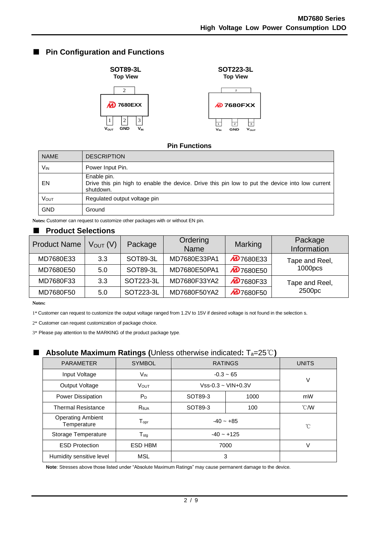## ■ **Pin Configuration and Functions**



### **Pin Functions**

| <b>NAME</b>     | <b>DESCRIPTION</b>                                                                                                          |
|-----------------|-----------------------------------------------------------------------------------------------------------------------------|
| V <sub>IN</sub> | Power Input Pin.                                                                                                            |
| EN              | Enable pin.<br>Drive this pin high to enable the device. Drive this pin low to put the device into low current<br>shutdown. |
| VOUT            | Regulated output voltage pin                                                                                                |
| <b>GND</b>      | Ground                                                                                                                      |

**Notes:** Customer can request to customize other packages with or without EN pin.

### ■ **Product Selections**

| <b>Product Name</b> | V <sub>OUT</sub> (V) | Package         | Ordering<br><b>Name</b> | Marking          | Package<br>Information |
|---------------------|----------------------|-----------------|-------------------------|------------------|------------------------|
| MD7680E33           | 3.3                  | SOT89-3L        | MD7680E33PA1            | <b>D</b> 7680E33 | Tape and Reel,         |
| MD7680E50           | 5.0                  | <b>SOT89-3L</b> | MD7680E50PA1            | <b>D</b> 7680E50 | 1000 <sub>pc</sub>     |
| MD7680F33           | 3.3                  | SOT223-3L       | MD7680F33YA2            | <b>M</b> 7680F33 | Tape and Reel,         |
| MD7680F50           | 5.0                  | SOT223-3L       | MD7680F50YA2            | <b>D</b> 7680F50 | 2500pc                 |

**Notes:**

1\* Customer can request to customize the output voltage ranged from 1.2V to 15V if desired voltage is not found in the selection s.

2\* Customer can request customization of package choice.

3\* Please pay attention to the MARKING of the product package type.

## ■ **Absolute Maximum Ratings (**Unless otherwise indicated**:** Ta=25℃**)**

|                                         | ້<br>$\overline{\phantom{a}}$ |                         |      |                |  |
|-----------------------------------------|-------------------------------|-------------------------|------|----------------|--|
| <b>PARAMETER</b>                        | <b>SYMBOL</b>                 | <b>RATINGS</b>          |      | <b>UNITS</b>   |  |
| Input Voltage                           | V <sub>IN</sub>               | $-0.3 - 65$             |      | V              |  |
| Output Voltage                          | <b>VOUT</b>                   | $Vss-0.3 \sim VIN+0.3V$ |      |                |  |
| Power Dissipation                       | $P_D$                         | SOT89-3                 | 1000 | mW             |  |
| <b>Thermal Resistance</b>               | $R_{\theta,JA}$               | SOT89-3                 | 100  | $^{\circ}$ C/W |  |
| <b>Operating Ambient</b><br>Temperature | $T_{\text{opr}}$              | $-40 - +85$             |      | °C             |  |
| Storage Temperature                     | ${\mathsf T}_{\text{stg}}$    | $-40 - +125$            |      |                |  |
| <b>ESD Protection</b>                   | <b>ESD HBM</b>                | 7000                    |      | V              |  |
| Humidity sensitive level                | MSL                           | 3                       |      |                |  |

**Note**: Stresses above those listed under "Absolute Maximum Ratings" may cause permanent damage to the device.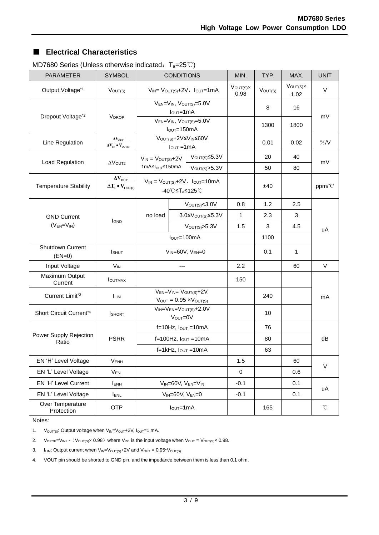## ■ **Electrical Characteristics**

| <b>PARAMETER</b>                | <b>SYMBOL</b>                                                                                            | <b>CONDITIONS</b>                                                          |                                         |                                    | MIN.                        | TYP.         | MAX.                        | <b>UNIT</b> |
|---------------------------------|----------------------------------------------------------------------------------------------------------|----------------------------------------------------------------------------|-----------------------------------------|------------------------------------|-----------------------------|--------------|-----------------------------|-------------|
| Output Voltage*1                | $V_{OUT(S)}$                                                                                             | $V_{IN} = V_{OUT(S)} + 2V$ , $I_{OUT} = 1mA$                               |                                         |                                    | $V_{OUT(S)} \times$<br>0.98 | $V_{OUT(S)}$ | $V_{OUT(S)} \times$<br>1.02 | V           |
| Dropout Voltage*2               | <b>VDROP</b>                                                                                             | VEN=VIN, VOUT(S)=5.0V<br>$IOUT=1mA$                                        |                                         |                                    | 8                           | 16           | mV                          |             |
|                                 |                                                                                                          | $V_{EN} = V_{IN}$ , $V_{OUT(S)} = 5.0V$<br>$IOUT=150mA$                    |                                         |                                    | 1300                        | 1800         |                             |             |
| Line Regulation                 | $\Delta V_{\rm OUT}$<br>$\overline{\Delta \mathrm{V}_\mathrm{IN} \bullet \mathrm{V}_\mathrm{OUT(s)}}$    | V <sub>OUT(S)</sub> +2V≤V <sub>IN</sub> ≤60V<br>$I_{OUT} = 1mA$            |                                         |                                    | 0.01                        | 0.02         | %N                          |             |
| Load Regulation                 | $\Delta$ VOUT2                                                                                           | $V_{IN} = V_{OUT(S)} + 2V$                                                 |                                         | $V_{\text{OUT(S)}} \leq 5.3V$      |                             | 20           | 40                          | mV          |
|                                 |                                                                                                          | 1mA≤I <sub>OUT</sub> ≤150mA                                                |                                         | V <sub>OUT(S)</sub> > 5.3V         |                             | 50           | 80                          |             |
| <b>Temperature Stability</b>    | $\Delta\rm {V_{OUT}}$<br>$\Delta T_a \bullet V_{OUT(s)}$                                                 | $V_{IN} = V_{OUT(S)} + 2V$ , $I_{OUT} = 10mA$<br>-40℃≤T <sub>a</sub> ≤125℃ |                                         |                                    | ±40                         |              | ppm/°C                      |             |
|                                 |                                                                                                          |                                                                            |                                         | V <sub>OUT(S)</sub> <3.0V          | 0.8                         | 1.2          | 2.5                         |             |
| <b>GND Current</b>              | <b>I</b> GND                                                                                             | no load                                                                    | $3.0 \leq V_{\text{OUT(S)}} \leq 5.3 V$ |                                    | 1                           | 2.3          | 3                           |             |
| $(V_{EN}=V_{IN})$               |                                                                                                          |                                                                            |                                         | $V_{\text{OUT(S)}} > 5.3V$         | 1.5                         | 3            | 4.5                         | uA          |
|                                 |                                                                                                          | $IOUT=100mA$                                                               |                                         |                                    | 1100                        |              |                             |             |
| Shutdown Current<br>$(EN=0)$    | <b>I</b> SHUT                                                                                            | $V_{IN} = 60V$ , $V_{EN} = 0$                                              |                                         |                                    | 0.1                         | 1            |                             |             |
| Input Voltage                   | $V_{IN}$                                                                                                 | $---$                                                                      |                                         | 2.2                                |                             | 60           | $\vee$                      |             |
| Maximum Output<br>Current       | <b>I</b> OUTMAX                                                                                          |                                                                            |                                         |                                    | 150                         |              |                             |             |
| Current Limit*3                 | $V_{EN} = V_{IN} = V_{OUT(S)} + 2V$ ,<br><b>ILIM</b><br>$V_{\text{OUT}} = 0.95 \times V_{\text{OUT(S)}}$ |                                                                            |                                         |                                    | 240                         |              | mA                          |             |
| Short Circuit Current*4         | <b>I</b> SHORT                                                                                           | $V_{IN} = V_{EN} = V_{OUT(S)} + 2.0V$<br>VOUT=0V                           |                                         |                                    | 10                          |              |                             |             |
|                                 |                                                                                                          |                                                                            |                                         | $f=10Hz$ , $I_{OUT}=10mA$          |                             | 76           |                             |             |
| Power Supply Rejection<br>Ratio | <b>PSRR</b>                                                                                              | $f=100Hz$ , $I_{OUT}=10mA$                                                 |                                         |                                    | 80                          |              | dB                          |             |
|                                 |                                                                                                          | $f=1$ kHz, $I_{OUT}=10$ mA                                                 |                                         |                                    | 63                          |              |                             |             |
| EN 'H' Level Voltage            | $V_{ENH}$                                                                                                |                                                                            |                                         | 1.5                                |                             | 60           |                             |             |
| EN 'L' Level Voltage            | <b>VENL</b>                                                                                              |                                                                            |                                         | $\pmb{0}$                          |                             | 0.6          | $\vee$                      |             |
| EN 'H' Level Current            | <b>IENH</b>                                                                                              |                                                                            |                                         | $V_{IN} = 60V$ , $V_{EN} = V_{IN}$ | $-0.1$                      |              | 0.1                         |             |
| EN 'L' Level Voltage            | <b>IENL</b>                                                                                              | $V_{IN} = 60V, V_{EN} = 0$                                                 |                                         | $-0.1$                             |                             | 0.1          | uA                          |             |
| Over Temperature<br>Protection  | <b>OTP</b>                                                                                               | $IOUT=1mA$                                                                 |                                         |                                    | 165                         |              | $^\circ\!{\rm C}$           |             |

MD7680 Series (Unless otherwise indicated: T<sub>a</sub>=25℃)

Notes:

1.  $V_{\text{OUT(S)}}$ : Output voltage when  $V_{\text{IN}}=V_{\text{OUT}}+2V$ ,  $I_{\text{OUT}}=1$  mA.

2.  $V_{\text{DROP}}=V_{\text{IN1}}$  -  $(V_{\text{OUT}(S)}\times 0.98)$  where  $V_{\text{IN1}}$  is the input voltage when  $V_{\text{OUT}}=V_{\text{OUT}(S)}\times 0.98$ .

3.  $I_{LIM}$ : Output current when  $V_{IN} = V_{OUT(S)} + 2V$  and  $V_{OUT} = 0.95*V_{OUT(S)}$ .

4. VOUT pin should be shorted to GND pin, and the impedance between them is less than 0.1 ohm.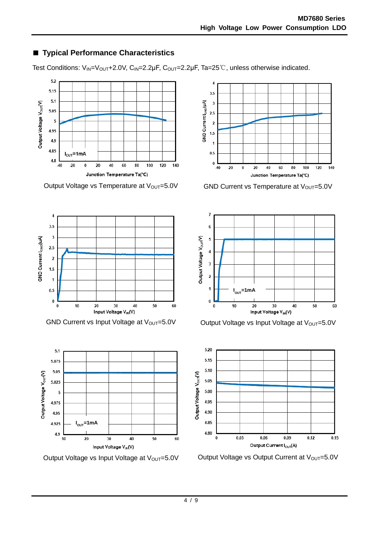# ■ **Typical Performance Characteristics**

Test Conditions:  $V_{IN} = V_{OUT} + 2.0V$ ,  $C_{IN} = 2.2\mu F$ ,  $C_{OUT} = 2.2\mu F$ , Ta=25°C, unless otherwise indicated.



Output Voltage vs Temperature at  $V_{\text{OUT}}=5.0V$  GND Current vs Temperature at  $V_{\text{OUT}}=5.0V$ 









GND Current vs Input Voltage at V<sub>OUT</sub>=5.0V  $\qquad$  Output Voltage vs Input Voltage at V<sub>OUT</sub>=5.0V



Output Voltage vs Input Voltage at V<sub>OUT</sub>=5.0V Cutput Voltage vs Output Current at V<sub>OUT</sub>=5.0V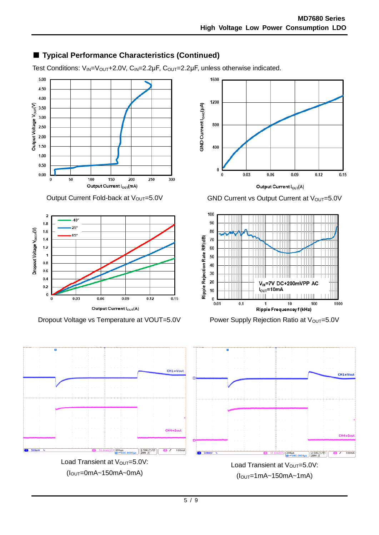# ■ **Typical Performance Characteristics (Continued)**

Test Conditions: V<sub>IN</sub>=V<sub>OUT</sub>+2.0V, C<sub>IN</sub>=2.2μF, C<sub>OUT</sub>=2.2μF, unless otherwise indicated.

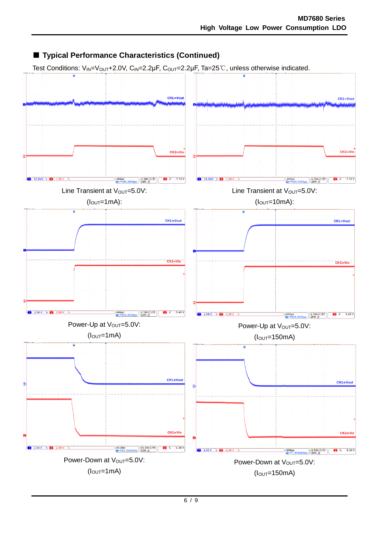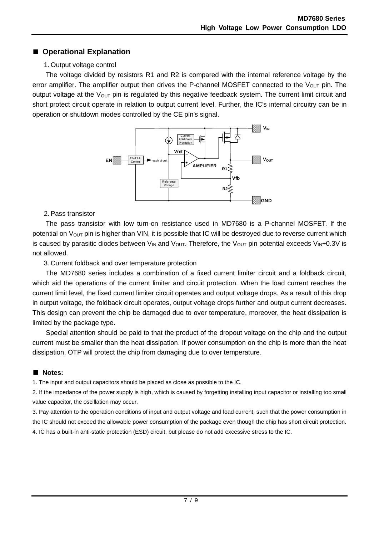## ■ **Operational Explanation**

## 1. Output voltage control

The voltage divided by resistors R1 and R2 is compared with the internal reference voltage by the error amplifier. The amplifier output then drives the P-channel MOSFET connected to the  $V_{\text{OUT}}$  pin. The output voltage at the  $V_{\text{OUT}}$  pin is regulated by this negative feedback system. The current limit circuit and short protect circuit operate in relation to output current level. Further, the IC's internal circuitry can be in operation or shutdown modes controlled by the CE pin's signal.



### 2.Pass transistor

The pass transistor with low turn-on resistance used in MD7680 is a P-channel MOSFET. If the potential on  $V_{\text{OUT}}$  pin is higher than VIN, it is possible that IC will be destroyed due to reverse current which is caused by parasitic diodes between  $V_{IN}$  and  $V_{OUT}$ . Therefore, the  $V_{OUT}$  pin potential exceeds  $V_{IN}$ +0.3V is not allowed.

3. Current foldback and over temperature protection

The MD7680 series includes a combination of a fixed current limiter circuit and a foldback circuit, which aid the operations of the current limiter and circuit protection. When the load current reaches the current limit level, the fixed current limiter circuit operates and output voltage drops. As a result of this drop in output voltage, the foldback circuit operates, output voltage drops further and output current decreases. This design can prevent the chip be damaged due to over temperature, moreover, the heat dissipation is limited by the package type.

Special attention should be paid to that the product of the dropout voltage on the chip and the output current must be smaller than the heat dissipation. If power consumption on the chip is more than the heat dissipation, OTP will protect the chip from damaging due to over temperature.

## ■ **Notes:**

1. The input and output capacitors should be placed as close as possible to the IC.

2. If the impedance of the power supply is high, which is caused by forgetting installing input capacitor or installing too small value capacitor, the oscillation may occur.

3. Pay attention to the operation conditions of input and output voltage and load current, such that the power consumption in the IC should not exceed the allowable power consumption of the package even though the chip has short circuit protection. 4. IC has a built-in anti-static protection (ESD) circuit, but please do not add excessive stress to the IC.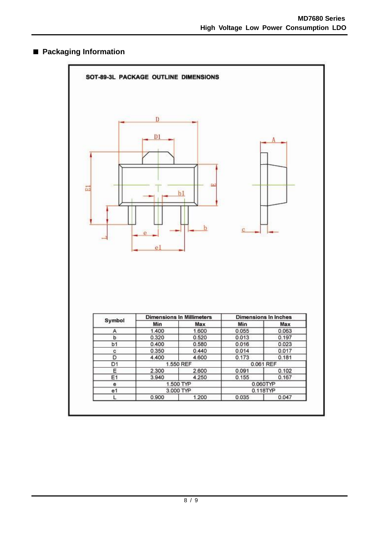## ■ **Packaging Information**